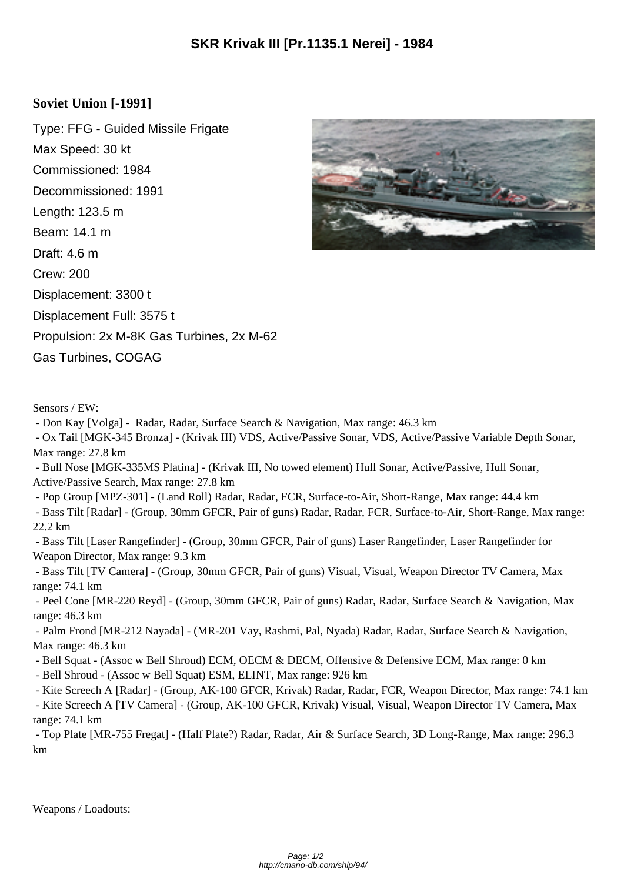## **Soviet Union [-1991]**

Type: FFG - Guided Missile Frigate Max Speed: 30 kt Commissioned: 1984 Decommissioned: 1991 Length: 123.5 m Beam: 14.1 m Draft: 4.6 m Crew: 200 Displacement: 3300 t Displacement Full: 3575 t Propulsion: 2x M-8K Gas Turbines, 2x M-62 Gas Turbines, COGAG



Sensors / EW:

- Don Kay [Volga] - Radar, Radar, Surface Search & Navigation, Max range: 46.3 km

 - Ox Tail [MGK-345 Bronza] - (Krivak III) VDS, Active/Passive Sonar, VDS, Active/Passive Variable Depth Sonar, Max range: 27.8 km

 - Bull Nose [MGK-335MS Platina] - (Krivak III, No towed element) Hull Sonar, Active/Passive, Hull Sonar, Active/Passive Search, Max range: 27.8 km

 - Pop Group [MPZ-301] - (Land Roll) Radar, Radar, FCR, Surface-to-Air, Short-Range, Max range: 44.4 km - Bass Tilt [Radar] - (Group, 30mm GFCR, Pair of guns) Radar, Radar, FCR, Surface-to-Air, Short-Range, Max range: 22.2 km

 - Bass Tilt [Laser Rangefinder] - (Group, 30mm GFCR, Pair of guns) Laser Rangefinder, Laser Rangefinder for Weapon Director, Max range: 9.3 km

 - Bass Tilt [TV Camera] - (Group, 30mm GFCR, Pair of guns) Visual, Visual, Weapon Director TV Camera, Max range: 74.1 km

 - Peel Cone [MR-220 Reyd] - (Group, 30mm GFCR, Pair of guns) Radar, Radar, Surface Search & Navigation, Max range: 46.3 km

 - Palm Frond [MR-212 Nayada] - (MR-201 Vay, Rashmi, Pal, Nyada) Radar, Radar, Surface Search & Navigation, Max range: 46.3 km

- Bell Squat - (Assoc w Bell Shroud) ECM, OECM & DECM, Offensive & Defensive ECM, Max range: 0 km

- Bell Shroud - (Assoc w Bell Squat) ESM, ELINT, Max range: 926 km

- Kite Screech A [Radar] - (Group, AK-100 GFCR, Krivak) Radar, Radar, FCR, Weapon Director, Max range: 74.1 km

 - Kite Screech A [TV Camera] - (Group, AK-100 GFCR, Krivak) Visual, Visual, Weapon Director TV Camera, Max range: 74.1 km

 - Top Plate [MR-755 Fregat] - (Half Plate?) Radar, Radar, Air & Surface Search, 3D Long-Range, Max range: 296.3 km

Weapons / Loadouts: